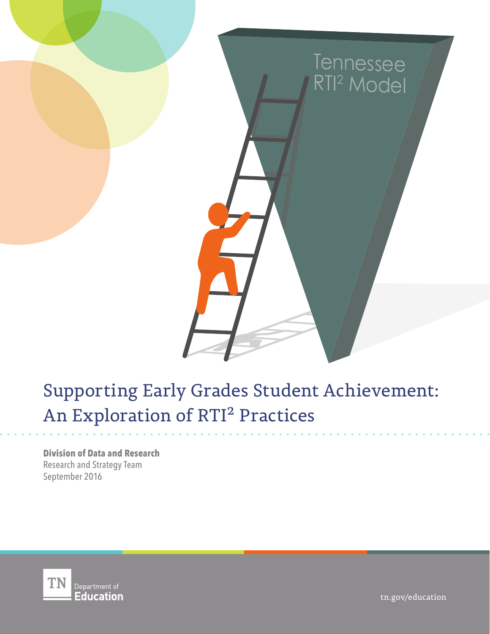

# Supporting Early Grades Student Achievement: An Exploration of RTI² Practices

**Division of Data and Research** Research and Strategy Team September 2016



tn.gov/education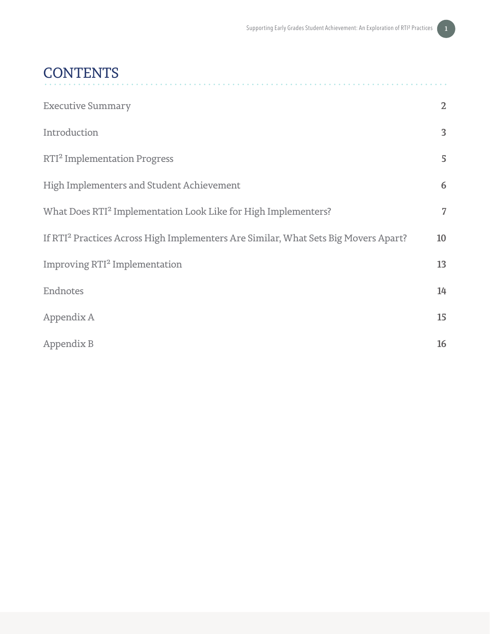# **CONTENTS**

| <b>Executive Summary</b>                                                                        | $\mathbf{2}$   |
|-------------------------------------------------------------------------------------------------|----------------|
| Introduction                                                                                    | $\overline{3}$ |
| RTI <sup>2</sup> Implementation Progress                                                        | 5              |
| High Implementers and Student Achievement                                                       | 6              |
| What Does RTI <sup>2</sup> Implementation Look Like for High Implementers?                      | 7              |
| If RTI <sup>2</sup> Practices Across High Implementers Are Similar, What Sets Big Movers Apart? | 10             |
| Improving RTI <sup>2</sup> Implementation                                                       | 13             |
| Endnotes                                                                                        | 14             |
| Appendix A                                                                                      | 15             |
| Appendix B                                                                                      | 16             |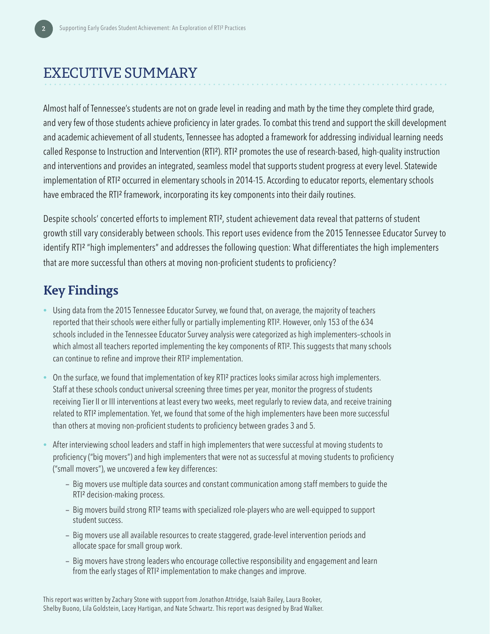# EXECUTIVE SUMMARY

Almost half of Tennessee's students are not on grade level in reading and math by the time they complete third grade, and very few of those students achieve proficiency in later grades. To combat this trend and support the skill development and academic achievement of all students, Tennessee has adopted a framework for addressing individual learning needs called Response to Instruction and Intervention (RTI<sup>2</sup>). RTI<sup>2</sup> promotes the use of research-based, high-quality instruction and interventions and provides an integrated, seamless model that supports student progress at every level. Statewide implementation of RTI² occurred in elementary schools in 2014-15. According to educator reports, elementary schools have embraced the RTI<sup>2</sup> framework, incorporating its key components into their daily routines.

Despite schools' concerted efforts to implement RTI², student achievement data reveal that patterns of student growth still vary considerably between schools. This report uses evidence from the 2015 Tennessee Educator Survey to identify RTI² "high implementers" and addresses the following question: What differentiates the high implementers that are more successful than others at moving non-proficient students to proficiency?

### **Key Findings**

- Using data from the 2015 Tennessee Educator Survey, we found that, on average, the majority of teachers reported that their schools were either fully or partially implementing RTI². However, only 153 of the 634 schools included in the Tennessee Educator Survey analysis were categorized as high implementers–schools in which almost all teachers reported implementing the key components of RTI<sup>2</sup>. This suggests that many schools can continue to refine and improve their RTI² implementation.
- On the surface, we found that implementation of key RTI² practices looks similar across high implementers. Staff at these schools conduct universal screening three times per year, monitor the progress of students receiving Tier II or III interventions at least every two weeks, meet regularly to review data, and receive training related to RTI² implementation. Yet, we found that some of the high implementers have been more successful than others at moving non-proficient students to proficiency between grades 3 and 5.
- After interviewing school leaders and staff in high implementers that were successful at moving students to proficiency ("big movers") and high implementers that were not as successful at moving students to proficiency ("small movers"), we uncovered a few key differences:
	- **—** Big movers use multiple data sources and constant communication among staff members to guide the RTI² decision-making process.
	- **—** Big movers build strong RTI² teams with specialized role-players who are well-equipped to support student success.
	- **—** Big movers use all available resources to create staggered, grade-level intervention periods and allocate space for small group work.
	- **—** Big movers have strong leaders who encourage collective responsibility and engagement and learn from the early stages of RTI² implementation to make changes and improve.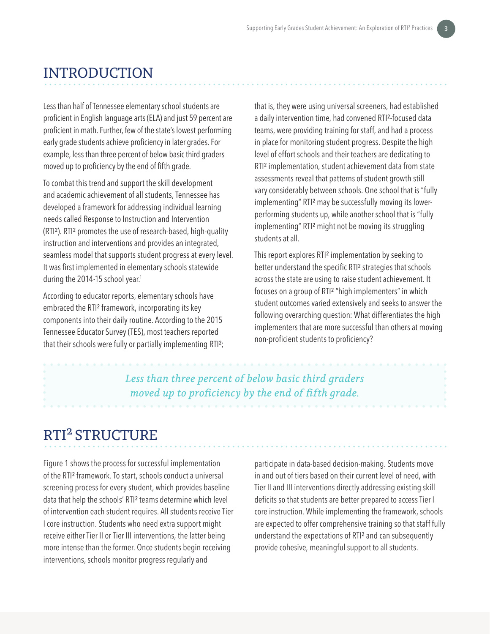## INTRODUCTION

Less than half of Tennessee elementary school students are proficient in English language arts (ELA) and just 59 percent are proficient in math. Further, few of the state's lowest performing early grade students achieve proficiency in later grades. For example, less than three percent of below basic third graders moved up to proficiency by the end of fifth grade.

To combat this trend and support the skill development and academic achievement of all students, Tennessee has developed a framework for addressing individual learning needs called Response to Instruction and Intervention (RTI²). RTI² promotes the use of research-based, high-quality instruction and interventions and provides an integrated, seamless model that supports student progress at every level. It was first implemented in elementary schools statewide during the 2014-15 school year.<sup>1</sup>

According to educator reports, elementary schools have embraced the RTI² framework, incorporating its key components into their daily routine. According to the 2015 Tennessee Educator Survey (TES), most teachers reported that their schools were fully or partially implementing RTI²; that is, they were using universal screeners, had established a daily intervention time, had convened RTI²-focused data teams, were providing training for staff, and had a process in place for monitoring student progress. Despite the high level of effort schools and their teachers are dedicating to RTI² implementation, student achievement data from state assessments reveal that patterns of student growth still vary considerably between schools. One school that is "fully implementing" RTI² may be successfully moving its lowerperforming students up, while another school that is "fully implementing" RTI² might not be moving its struggling students at all.

This report explores RTI² implementation by seeking to better understand the specific RTI² strategies that schools across the state are using to raise student achievement. It focuses on a group of RTI² "high implementers" in which student outcomes varied extensively and seeks to answer the following overarching question: What differentiates the high implementers that are more successful than others at moving non-proficient students to proficiency?

*Less than three percent of below basic third graders moved up to proficiency by the end of fifth grade.*

# RTI² STRUCTURE

Figure 1 shows the process for successful implementation of the RTI² framework. To start, schools conduct a universal screening process for every student, which provides baseline data that help the schools' RTI² teams determine which level of intervention each student requires. All students receive Tier I core instruction. Students who need extra support might receive either Tier II or Tier III interventions, the latter being more intense than the former. Once students begin receiving interventions, schools monitor progress regularly and

participate in data-based decision-making. Students move in and out of tiers based on their current level of need, with Tier II and III interventions directly addressing existing skill deficits so that students are better prepared to access Tier I core instruction. While implementing the framework, schools are expected to offer comprehensive training so that staff fully understand the expectations of RTI² and can subsequently provide cohesive, meaningful support to all students.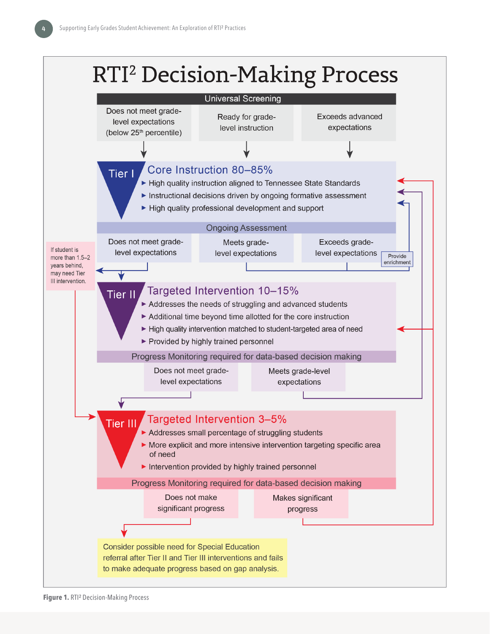# **RTI<sup>2</sup> Decision-Making Process**

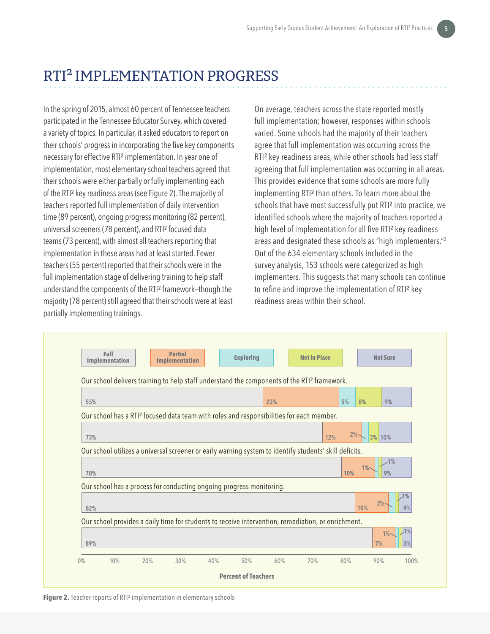# RTI² IMPLEMENTATION PROGRESS

In the spring of 2015, almost 60 percent of Tennessee teachers participated in the Tennessee Educator Survey, which covered a variety of topics. In particular, it asked educators to report on their schools' progress in incorporating the five key components necessary for effective RTI² implementation. In year one of implementation, most elementary school teachers agreed that their schools were either partially or fully implementing each of the RTI² key readiness areas (see Figure 2). The majority of teachers reported full implementation of daily intervention time (89 percent), ongoing progress monitoring (82 percent), universal screeners (78 percent), and RTI² focused data teams (73 percent), with almost all teachers reporting that implementation in these areas had at least started. Fewer teachers (55 percent) reported that their schools were in the full implementation stage of delivering training to help staff understand the components of the RTI² framework—though the majority (78 percent) still agreed that their schools were at least partially implementing trainings.

On average, teachers across the state reported mostly full implementation; however, responses within schools varied. Some schools had the majority of their teachers agree that full implementation was occurring across the RTI<sup>2</sup> key readiness areas, while other schools had less staff agreeing that full implementation was occurring in all areas. This provides evidence that some schools are more fully implementing RTI² than others. To learn more about the schools that have most successfully put RTI<sup>2</sup> into practice, we identified schools where the majority of teachers reported a high level of implementation for all five RTI² key readiness areas and designated these schools as "high implementers."<sup>2</sup> Out of the 634 elementary schools included in the survey analysis, 153 schools were categorized as high implementers. This suggests that many schools can continue to refine and improve the implementation of RTI² key readiness areas within their school.

| Implementation<br><b>Implementation</b><br>Our school delivers training to help staff understand the components of the RTI <sup>2</sup> framework. |                                                                                                        |                                                                                                    |  |  |     |  |     |           |                   |  |  |
|----------------------------------------------------------------------------------------------------------------------------------------------------|--------------------------------------------------------------------------------------------------------|----------------------------------------------------------------------------------------------------|--|--|-----|--|-----|-----------|-------------------|--|--|
|                                                                                                                                                    |                                                                                                        |                                                                                                    |  |  |     |  |     |           |                   |  |  |
| 55%                                                                                                                                                |                                                                                                        |                                                                                                    |  |  | 23% |  | 5%  | 8%        | 9%                |  |  |
|                                                                                                                                                    | Our school has a RTI <sup>2</sup> focused data team with roles and responsibilities for each member.   |                                                                                                    |  |  |     |  |     |           |                   |  |  |
| 2%<br>3% 10%<br>12%<br>73%                                                                                                                         |                                                                                                        |                                                                                                    |  |  |     |  |     |           |                   |  |  |
|                                                                                                                                                    | Our school utilizes a universal screener or early warning system to identify students' skill deficits. |                                                                                                    |  |  |     |  |     |           |                   |  |  |
| 78%                                                                                                                                                |                                                                                                        |                                                                                                    |  |  |     |  | 10% | $1\%$     | .1%<br>9%         |  |  |
| Our school has a process for conducting ongoing progress monitoring.                                                                               |                                                                                                        |                                                                                                    |  |  |     |  |     |           |                   |  |  |
|                                                                                                                                                    |                                                                                                        |                                                                                                    |  |  |     |  |     | 2%<br>10% | 4%                |  |  |
| 82%                                                                                                                                                |                                                                                                        | Our school provides a daily time for students to receive intervention, remediation, or enrichment. |  |  |     |  |     |           |                   |  |  |
|                                                                                                                                                    |                                                                                                        |                                                                                                    |  |  |     |  |     |           |                   |  |  |
| 89%                                                                                                                                                |                                                                                                        |                                                                                                    |  |  |     |  |     | 7%        | 1%<br>$1\%$<br>3% |  |  |

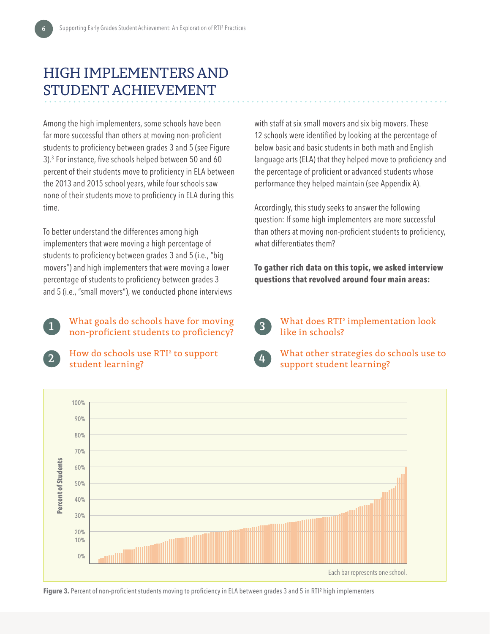# HIGH IMPLEMENTERS AND STUDENT ACHIEVEMENT

Among the high implementers, some schools have been far more successful than others at moving non-proficient students to proficiency between grades 3 and 5 (see Figure 3).3 For instance, five schools helped between 50 and 60 percent of their students move to proficiency in ELA between the 2013 and 2015 school years, while four schools saw none of their students move to proficiency in ELA during this time.

To better understand the differences among high implementers that were moving a high percentage of students to proficiency between grades 3 and 5 (i.e., "big movers") and high implementers that were moving a lower percentage of students to proficiency between grades 3 and 5 (i.e., "small movers"), we conducted phone interviews with staff at six small movers and six big movers. These 12 schools were identified by looking at the percentage of below basic and basic students in both math and English language arts (ELA) that they helped move to proficiency and the percentage of proficient or advanced students whose performance they helped maintain (see Appendix A).

Accordingly, this study seeks to answer the following question: If some high implementers are more successful than others at moving non-proficient students to proficiency, what differentiates them?

**To gather rich data on this topic, we asked interview questions that revolved around four main areas:**



What goals do schools have for moving non-proficient students to proficiency? **1**



**2** How do schools use RTI<sup>2</sup> to support student learning?

**3** What does RTI<sup>2</sup> implementation look like in schools?



**4** What other strategies do schools use to support student learning?



**Figure 3.** Percent of non-proficient students moving to proficiency in ELA between grades 3 and 5 in RTI<sup>2</sup> high implementers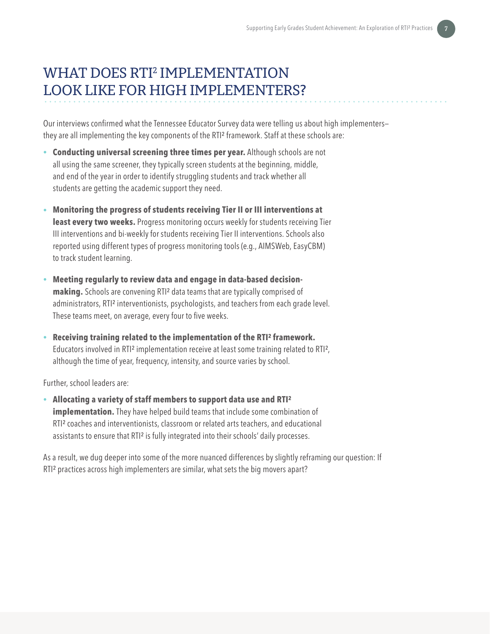# WHAT DOES RTI2 IMPLEMENTATION LOOK LIKE FOR HIGH IMPLEMENTERS?

Our interviews confirmed what the Tennessee Educator Survey data were telling us about high implementers they are all implementing the key components of the RTI² framework. Staff at these schools are:

- **Conducting universal screening three times per year.** Although schools are not all using the same screener, they typically screen students at the beginning, middle, and end of the year in order to identify struggling students and track whether all students are getting the academic support they need.
- **Monitoring the progress of students receiving Tier II or III interventions at least every two weeks.** Progress monitoring occurs weekly for students receiving Tier III interventions and bi-weekly for students receiving Tier II interventions. Schools also reported using different types of progress monitoring tools (e.g., AIMSWeb, EasyCBM) to track student learning.
- **Meeting regularly to review data and engage in data-based decisionmaking.** Schools are convening RTI² data teams that are typically comprised of administrators, RTI² interventionists, psychologists, and teachers from each grade level. These teams meet, on average, every four to five weeks.
- **Receiving training related to the implementation of the RTI² framework.**  Educators involved in RTI<sup>2</sup> implementation receive at least some training related to RTI<sup>2</sup>, although the time of year, frequency, intensity, and source varies by school.

Further, school leaders are:

• **Allocating a variety of staff members to support data use and RTI² implementation.** They have helped build teams that include some combination of RTI² coaches and interventionists, classroom or related arts teachers, and educational assistants to ensure that RTI² is fully integrated into their schools' daily processes.

As a result, we dug deeper into some of the more nuanced differences by slightly reframing our question: If RTI² practices across high implementers are similar, what sets the big movers apart?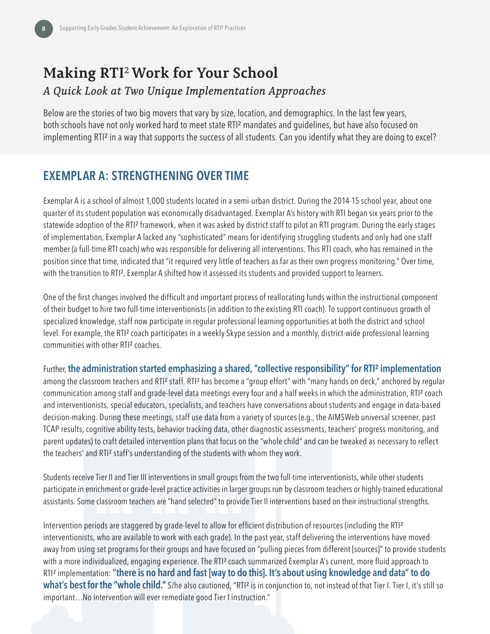# **Making RTI**<sup>2</sup>  **Work for Your School** *A Quick Look at Two Unique Implementation Approaches*

Below are the stories of two big movers that vary by size, location, and demographics. In the last few years, both schools have not only worked hard to meet state RTI² mandates and guidelines, but have also focused on implementing RTI² in a way that supports the success of all students. Can you identify what they are doing to excel?

#### **EXEMPLAR A: STRENGTHENING OVER TIME**

Exemplar A is a school of almost 1,000 students located in a semi-urban district. During the 2014-15 school year, about one quarter of its student population was economically disadvantaged. Exemplar A's history with RTI began six years prior to the statewide adoption of the RTI² framework, when it was asked by district staff to pilot an RTI program. During the early stages of implementation, Exemplar A lacked any "sophisticated" means for identifying struggling students and only had one staff member (a full-time RTI coach) who was responsible for delivering all interventions. This RTI coach, who has remained in the position since that time, indicated that "it required very little of teachers as far as their own progress monitoring." Over time, with the transition to RTI<sup>2</sup>, Exemplar A shifted how it assessed its students and provided support to learners.

One of the first changes involved the difficult and important process of reallocating funds within the instructional component of their budget to hire two full-time interventionists (in addition to the existing RTI coach). To support continuous growth of specialized knowledge, staff now participate in regular professional learning opportunities at both the district and school level. For example, the RTI² coach participates in a weekly Skype session and a monthly, district-wide professional learning communities with other RTI² coaches.

Further,**the administration started emphasizing a shared, "collective responsibility" for RTI² implementation** among the classroom teachers and RTI<sup>2</sup> staff. RTI<sup>2</sup> has become a "group effort" with "many hands on deck," anchored by regular communication among staff and grade-level data meetings every four and a half weeks in which the administration, RTI² coach and interventionists, special educators, specialists, and teachers have conversations about students and engage in data-based decision-making. During these meetings, staff use data from a variety of sources (e.g., the AIMSWeb universal screener, past TCAP results, cognitive ability tests, behavior tracking data, other diagnostic assessments, teachers' progress monitoring, and parent updates) to craft detailed intervention plans that focus on the "whole child" and can be tweaked as necessary to reflect the teachers' and RTI² staff's understanding of the students with whom they work.

Students receive Tier II and Tier III interventions in small groups from the two full-time interventionists, while other students participate in enrichment or grade-level practice activities in larger groups run by classroom teachers or highly-trained educational assistants. Some classroom teachers are "hand selected" to provide Tier II interventions based on their instructional strengths.

Intervention periods are staggered by grade-level to allow for efficient distribution of resources (including the RTI² interventionists, who are available to work with each grade). In the past year, staff delivering the interventions have moved away from using set programs for their groups and have focused on "pulling pieces from different [sources]" to provide students with a more individualized, engaging experience. The RTI<sup>2</sup> coach summarized Exemplar A's current, more fluid approach to RTI² implementation: **"there is no hard and fast [way to do this]. It's about using knowledge and data" to do what's best for the "whole child."** S/he also cautioned, "RTI<sup>2</sup> is in conjunction to, not instead of that Tier I. Tier I, it's still so important…No intervention will ever remediate good Tier I instruction."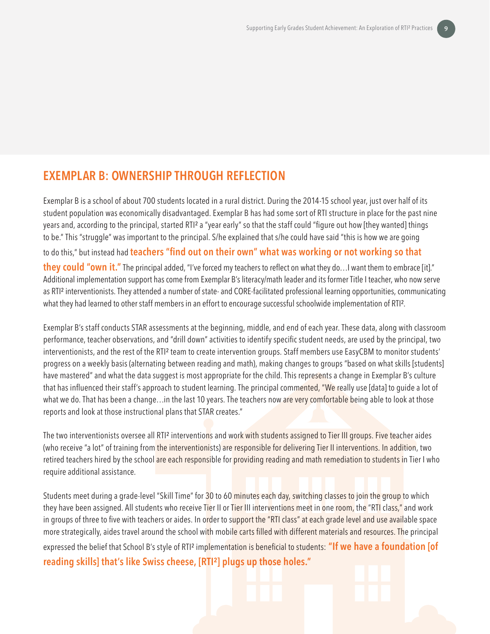#### **EXEMPLAR B: OWNERSHIP THROUGH REFLECTION**

Exemplar B is a school of about 700 students located in a rural district. During the 2014-15 school year, just over half of its student population was economically disadvantaged. Exemplar B has had some sort of RTI structure in place for the past nine years and, according to the principal, started RTI² a "year early" so that the staff could "figure out how [they wanted] things to be." This "struggle" was important to the principal. S/he explained that s/he could have said "this is how we are going to do this," but instead had **teachers "find out on their own" what was working or not working so that they could "own it."** The principal added, "I've forced my teachers to reflect on what they do...I want them to embrace [it]." Additional implementation support has come from Exemplar B's literacy/math leader and its former Title I teacher, who now serve as RTI<sup>2</sup> interventionists. They attended a number of state- and CORE-facilitated professional learning opportunities, communicating what they had learned to other staff members in an effort to encourage successful schoolwide implementation of RTI<sup>2</sup>.

Exemplar B's staff conducts STAR assessments at the beginning, middle, and end of each year. These data, along with classroom performance, teacher observations, and "drill down" activities to identify specific student needs, are used by the principal, two interventionists, and the rest of the RTI² team to create intervention groups. Staff members use EasyCBM to monitor students' progress on a weekly basis (alternating between reading and math), making changes to groups "based on what skills [students] have mastered" and what the data suggest is most appropriate for the child. This represents a change in Exemplar B's culture that has influenced their staff's approach to student learning. The principal commented, "We really use [data] to guide a lot of what we do. That has been a change...in the last 10 years. The teachers now are very comfortable being able to look at those reports and look at those instructional plans that STAR creates."

The two interventionists oversee all RTI<sup>2</sup> interventions and work with students assigned to Tier III groups. Five teacher aides (who receive "a lot" of training from the interventionists) are responsible for delivering Tier II interventions. In addition, two retired teachers hired by the school are each responsible for providing reading and math remediation to students in Tier I who require additional assistance.

Students meet during a grade-level "Skill Time" for 30 to 60 minutes each day, switching classes to join the group to which they have been assigned. All students who receive Tier II or Tier III interventions meet in one room, the "RTI class," and work in groups of three to five with teachers or aides. In order to support the "RTI class" at each grade level and use available space more strategically, aides travel around the school with mobile carts filled with different materials and resources. The principal expressed the belief that School B's style of RTI² implementation is beneficial to students: **"If we have a foundation [of reading skills] that's like Swiss cheese, [RTI²] plugs up those holes."**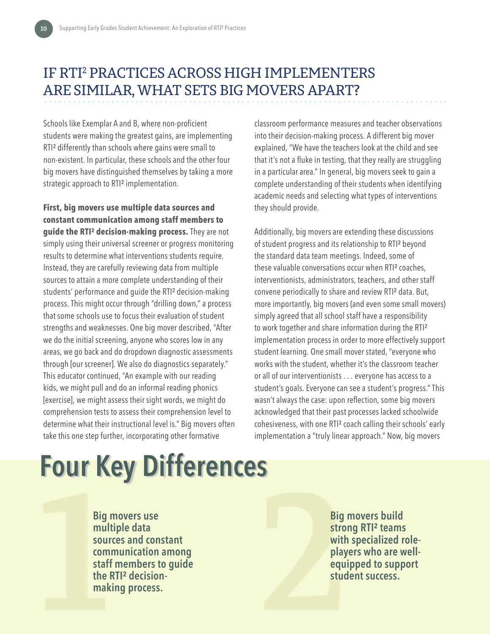# IF RTI2 PRACTICES ACROSS HIGH IMPLEMENTERS ARE SIMILAR, WHAT SETS BIG MOVERS APART?

Schools like Exemplar A and B, where non-proficient students were making the greatest gains, are implementing RTI² differently than schools where gains were small to non-existent. In particular, these schools and the other four big movers have distinguished themselves by taking a more strategic approach to RTI² implementation.

**First, big movers use multiple data sources and constant communication among staff members to guide the RTI² decision-making process.** They are not simply using their universal screener or progress monitoring results to determine what interventions students require. Instead, they are carefully reviewing data from multiple sources to attain a more complete understanding of their students' performance and guide the RTI² decision-making process. This might occur through "drilling down," a process that some schools use to focus their evaluation of student strengths and weaknesses. One big mover described, "After we do the initial screening, anyone who scores low in any areas, we go back and do dropdown diagnostic assessments through [our screener]. We also do diagnostics separately." This educator continued, "An example with our reading kids, we might pull and do an informal reading phonics [exercise], we might assess their sight words, we might do comprehension tests to assess their comprehension level to determine what their instructional level is." Big movers often take this one step further, incorporating other formative

classroom performance measures and teacher observations into their decision-making process. A different big mover explained, "We have the teachers look at the child and see that it's not a fluke in testing, that they really are struggling in a particular area." In general, big movers seek to gain a complete understanding of their students when identifying academic needs and selecting what types of interventions they should provide.

Additionally, big movers are extending these discussions of student progress and its relationship to RTI² beyond the standard data team meetings. Indeed, some of these valuable conversations occur when RTI² coaches, interventionists, administrators, teachers, and other staff convene periodically to share and review RTI² data. But, more importantly, big movers (and even some small movers) simply agreed that all school staff have a responsibility to work together and share information during the RTI² implementation process in order to more effectively support student learning. One small mover stated, "everyone who works with the student, whether it's the classroom teacher or all of our interventionists . . . everyone has access to a student's goals. Everyone can see a student's progress." This wasn't always the case: upon reflection, some big movers acknowledged that their past processes lacked schoolwide cohesiveness, with one RTI² coach calling their schools' early implementation a "truly linear approach." Now, big movers

# **Four Key Differences Four Key Differences**

**1 2 Big movers use multiple data sources and constant communication among staff members to guide the RTI² decisionmaking process.**

**Big movers build strong RTI² teams with specialized roleplayers who are wellequipped to support student success.**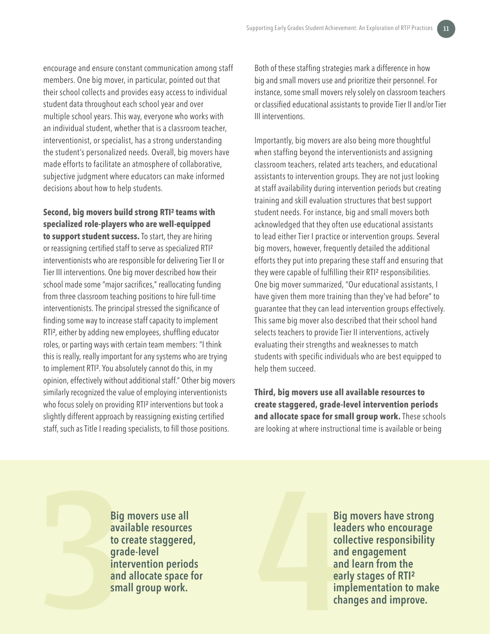encourage and ensure constant communication among staff members. One big mover, in particular, pointed out that their school collects and provides easy access to individual student data throughout each school year and over multiple school years. This way, everyone who works with an individual student, whether that is a classroom teacher, interventionist, or specialist, has a strong understanding the student's personalized needs. Overall, big movers have made efforts to facilitate an atmosphere of collaborative, subjective judgment where educators can make informed decisions about how to help students.

**Second, big movers build strong RTI² teams with specialized role-players who are well-equipped to support student success.** To start, they are hiring or reassigning certified staff to serve as specialized RTI² interventionists who are responsible for delivering Tier II or Tier III interventions. One big mover described how their school made some "major sacrifices," reallocating funding from three classroom teaching positions to hire full-time interventionists. The principal stressed the significance of finding some way to increase staff capacity to implement RTI², either by adding new employees, shuffling educator roles, or parting ways with certain team members: "I think this is really, really important for any systems who are trying to implement RTI². You absolutely cannot do this, in my opinion, effectively without additional staff." Other big movers similarly recognized the value of employing interventionists who focus solely on providing RTI<sup>2</sup> interventions but took a slightly different approach by reassigning existing certified staff, such as Title I reading specialists, to fill those positions.

Both of these staffing strategies mark a difference in how big and small movers use and prioritize their personnel. For instance, some small movers rely solely on classroom teachers or classified educational assistants to provide Tier II and/or Tier III interventions.

Importantly, big movers are also being more thoughtful when staffing beyond the interventionists and assigning classroom teachers, related arts teachers, and educational assistants to intervention groups. They are not just looking at staff availability during intervention periods but creating training and skill evaluation structures that best support student needs. For instance, big and small movers both acknowledged that they often use educational assistants to lead either Tier I practice or intervention groups. Several big movers, however, frequently detailed the additional efforts they put into preparing these staff and ensuring that they were capable of fulfilling their RTI<sup>2</sup> responsibilities. One big mover summarized, "Our educational assistants, I have given them more training than they've had before" to guarantee that they can lead intervention groups effectively. This same big mover also described that their school hand selects teachers to provide Tier II interventions, actively evaluating their strengths and weaknesses to match students with specific individuals who are best equipped to help them succeed.

**Third, big movers use all available resources to create staggered, grade-level intervention periods and allocate space for small group work.** These schools are looking at where instructional time is available or being

**3 Big movers use all**<br>
available resources<br>
to create staggered,<br>
grade-level<br>
intervention periods<br>
and allocate space for<br>
small group work.<br>
im<br>
cha **available resources to create staggered, grade-level intervention periods and allocate space for small group work.**

**Big movers have strong leaders who encourage collective responsibility and engagement and learn from the early stages of RTI² implementation to make changes and improve.**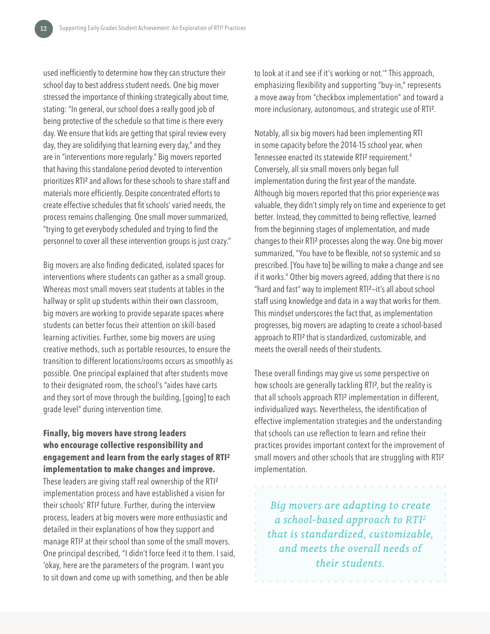used inefficiently to determine how they can structure their school day to best address student needs. One big mover stressed the importance of thinking strategically about time, stating: "In general, our school does a really good job of being protective of the schedule so that time is there every day. We ensure that kids are getting that spiral review every day, they are solidifying that learning every day," and they are in "interventions more regularly." Big movers reported that having this standalone period devoted to intervention prioritizes RTI² and allows for these schools to share staff and materials more efficiently. Despite concentrated efforts to create effective schedules that fit schools' varied needs, the process remains challenging. One small mover summarized, "trying to get everybody scheduled and trying to find the personnel to cover all these intervention groups is just crazy."

Big movers are also finding dedicated, isolated spaces for interventions where students can gather as a small group. Whereas most small movers seat students at tables in the hallway or split up students within their own classroom, big movers are working to provide separate spaces where students can better focus their attention on skill-based learning activities. Further, some big movers are using creative methods, such as portable resources, to ensure the transition to different locations/rooms occurs as smoothly as possible. One principal explained that after students move to their designated room, the school's "aides have carts and they sort of move through the building, [going] to each grade level" during intervention time.

**Finally, big movers have strong leaders who encourage collective responsibility and engagement and learn from the early stages of RTI² implementation to make changes and improve.**  These leaders are giving staff real ownership of the RTI² implementation process and have established a vision for their schools' RTI² future. Further, during the interview process, leaders at big movers were more enthusiastic and detailed in their explanations of how they support and manage RTI² at their school than some of the small movers. One principal described, "I didn't force feed it to them. I said, 'okay, here are the parameters of the program. I want you to sit down and come up with something, and then be able

to look at it and see if it's working or not.'" This approach, emphasizing flexibility and supporting "buy-in," represents a move away from "checkbox implementation" and toward a more inclusionary, autonomous, and strategic use of RTI².

Notably, all six big movers had been implementing RTI in some capacity before the 2014-15 school year, when Tennessee enacted its statewide RTI<sup>2</sup> requirement.<sup>4</sup> Conversely, all six small movers only began full implementation during the first year of the mandate. Although big movers reported that this prior experience was valuable, they didn't simply rely on time and experience to get better. Instead, they committed to being reflective, learned from the beginning stages of implementation, and made changes to their RTI² processes along the way. One big mover summarized, "You have to be flexible, not so systemic and so prescribed. [You have to] be willing to make a change and see if it works." Other big movers agreed, adding that there is no "hard and fast" way to implement RTI²—it's all about school staff using knowledge and data in a way that works for them. This mindset underscores the fact that, as implementation progresses, big movers are adapting to create a school-based approach to RTI² that is standardized, customizable, and meets the overall needs of their students.

These overall findings may give us some perspective on how schools are generally tackling RTI², but the reality is that all schools approach RTI² implementation in different, individualized ways. Nevertheless, the identification of effective implementation strategies and the understanding that schools can use reflection to learn and refine their practices provides important context for the improvement of small movers and other schools that are struggling with RTI<sup>2</sup> implementation.

*Big movers are adapting to create a school-based approach to RTI2 that is standardized, customizable, and meets the overall needs of their students.*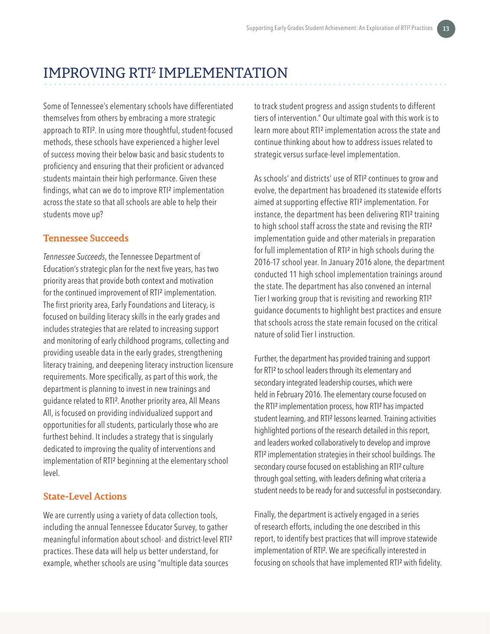# IMPROVING RTI2 IMPLEMENTATION

Some of Tennessee's elementary schools have differentiated themselves from others by embracing a more strategic approach to RTI². In using more thoughtful, student-focused methods, these schools have experienced a higher level of success moving their below basic and basic students to proficiency and ensuring that their proficient or advanced students maintain their high performance. Given these findings, what can we do to improve RTI² implementation across the state so that all schools are able to help their students move up?

#### **Tennessee Succeeds**

*Tennessee Succeeds*, the Tennessee Department of Education's strategic plan for the next five years, has two priority areas that provide both context and motivation for the continued improvement of RTI<sup>2</sup> implementation. The first priority area, Early Foundations and Literacy, is focused on building literacy skills in the early grades and includes strategies that are related to increasing support and monitoring of early childhood programs, collecting and providing useable data in the early grades, strengthening literacy training, and deepening literacy instruction licensure requirements. More specifically, as part of this work, the department is planning to invest in new trainings and guidance related to RTI². Another priority area, All Means All, is focused on providing individualized support and opportunities for all students, particularly those who are furthest behind. It includes a strategy that is singularly dedicated to improving the quality of interventions and implementation of RTI² beginning at the elementary school level.

#### **State-Level Actions**

We are currently using a variety of data collection tools, including the annual Tennessee Educator Survey, to gather meaningful information about school- and district-level RTI² practices. These data will help us better understand, for example, whether schools are using "multiple data sources

to track student progress and assign students to different tiers of intervention." Our ultimate goal with this work is to learn more about RTI² implementation across the state and continue thinking about how to address issues related to strategic versus surface-level implementation.

As schools' and districts' use of RTI<sup>2</sup> continues to grow and evolve, the department has broadened its statewide efforts aimed at supporting effective RTI² implementation. For instance, the department has been delivering RTI² training to high school staff across the state and revising the RTI<sup>2</sup> implementation guide and other materials in preparation for full implementation of RTI² in high schools during the 2016-17 school year. In January 2016 alone, the department conducted 11 high school implementation trainings around the state. The department has also convened an internal Tier I working group that is revisiting and reworking RTI² guidance documents to highlight best practices and ensure that schools across the state remain focused on the critical nature of solid Tier I instruction.

Further, the department has provided training and support for RTI² to school leaders through its elementary and secondary integrated leadership courses, which were held in February 2016. The elementary course focused on the RTI² implementation process, how RTI² has impacted student learning, and RTI² lessons learned. Training activities highlighted portions of the research detailed in this report, and leaders worked collaboratively to develop and improve RTI² implementation strategies in their school buildings. The secondary course focused on establishing an RTI<sup>2</sup> culture through goal setting, with leaders defining what criteria a student needs to be ready for and successful in postsecondary.

Finally, the department is actively engaged in a series of research efforts, including the one described in this report, to identify best practices that will improve statewide implementation of RTI². We are specifically interested in focusing on schools that have implemented RTI² with fidelity.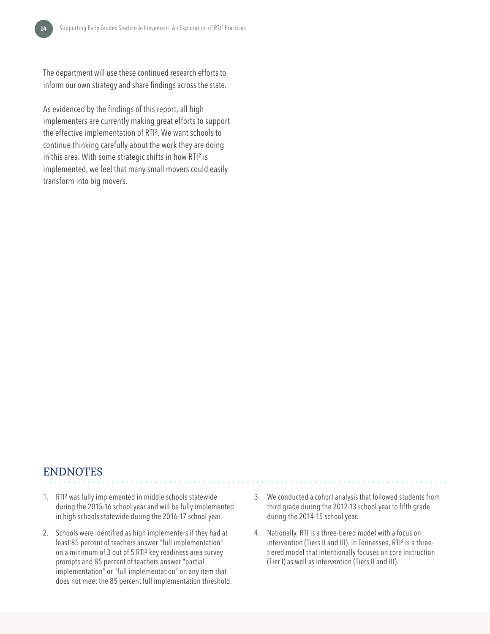The department will use these continued research efforts to inform our own strategy and share findings across the state.

As evidenced by the findings of this report, all high implementers are currently making great efforts to support the effective implementation of RTI². We want schools to continue thinking carefully about the work they are doing in this area. With some strategic shifts in how RTI² is implemented, we feel that many small movers could easily transform into big movers.

#### ENDNOTES

- 1. RTI² was fully implemented in middle schools statewide during the 2015-16 school year and will be fully implemented in high schools statewide during the 2016-17 school year.
- 2. Schools were identified as high implementers if they had at least 85 percent of teachers answer "full implementation" on a minimum of 3 out of 5 RTI² key readiness area survey prompts and 85 percent of teachers answer "partial implementation" or "full implementation" on any item that does not meet the 85 percent full implementation threshold.
- 3. We conducted a cohort analysis that followed students from third grade during the 2012-13 school year to fifth grade during the 2014-15 school year.
- 4. Nationally, RTI is a three-tiered model with a focus on intervention (Tiers II and III). In Tennessee, RTI² is a threetiered model that intentionally focuses on core instruction (Tier I) as well as intervention (Tiers II and III).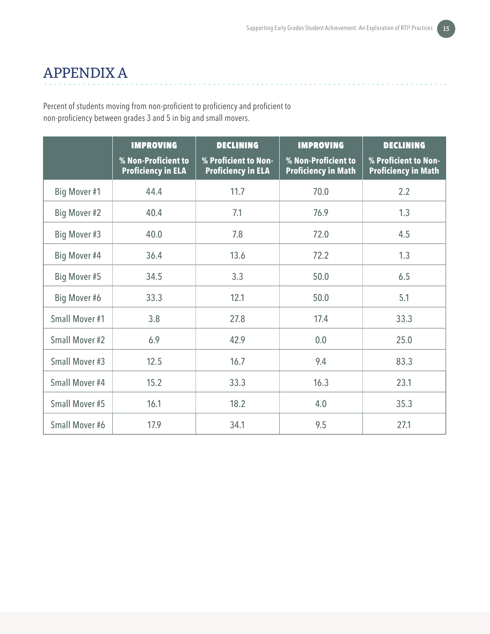**Alana Alana Alan** 

# APPENDIX A

Percent of students moving from non-proficient to proficiency and proficient to non-proficiency between grades 3 and 5 in big and small movers.

|                | <b>IMPROVING</b><br>% Non-Proficient to<br><b>Proficiency in ELA</b> | <b>DECLINING</b><br>% Proficient to Non-<br><b>Proficiency in ELA</b> | <b>IMPROVING</b><br>% Non-Proficient to<br><b>Proficiency in Math</b> | <b>DECLINING</b><br>% Proficient to Non-<br><b>Proficiency in Math</b> |
|----------------|----------------------------------------------------------------------|-----------------------------------------------------------------------|-----------------------------------------------------------------------|------------------------------------------------------------------------|
| Big Mover #1   | 44.4                                                                 | 11.7                                                                  | 70.0                                                                  | 2.2                                                                    |
| Big Mover #2   | 40.4                                                                 | 7.1                                                                   | 76.9                                                                  | 1.3                                                                    |
| Big Mover #3   | 40.0                                                                 | 7.8                                                                   | 72.0                                                                  | 4.5                                                                    |
| Big Mover #4   | 36.4                                                                 | 13.6                                                                  | 72.2                                                                  | 1.3                                                                    |
| Big Mover #5   | 34.5                                                                 | 3.3                                                                   | 50.0                                                                  | 6.5                                                                    |
| Big Mover #6   | 33.3                                                                 | 12.1                                                                  | 50.0                                                                  | 5.1                                                                    |
| Small Mover #1 | 3.8                                                                  | 27.8                                                                  | 17.4                                                                  | 33.3                                                                   |
| Small Mover #2 | 6.9                                                                  | 42.9                                                                  | 0.0                                                                   | 25.0                                                                   |
| Small Mover #3 | 12.5                                                                 | 16.7                                                                  | 9.4                                                                   | 83.3                                                                   |
| Small Mover #4 | 15.2                                                                 | 33.3                                                                  | 16.3                                                                  | 23.1                                                                   |
| Small Mover #5 | 16.1                                                                 | 18.2                                                                  | 4.0                                                                   | 35.3                                                                   |
| Small Mover #6 | 17.9                                                                 | 34.1                                                                  | 9.5                                                                   | 27.1                                                                   |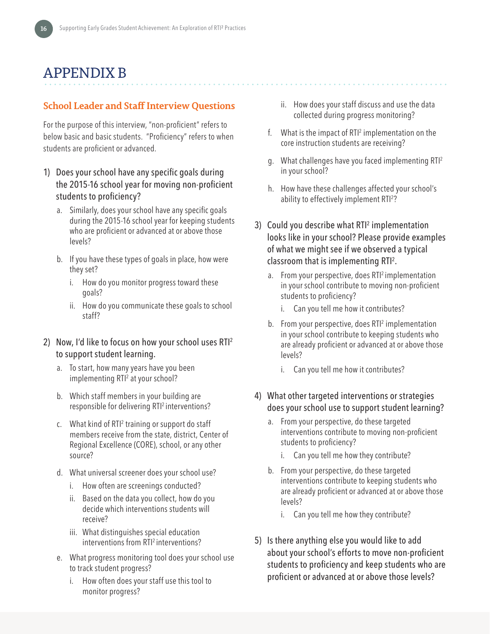# APPENDIX B

#### **School Leader and Staff Interview Questions**

For the purpose of this interview, "non-proficient" refers to below basic and basic students. "Proficiency" refers to when students are proficient or advanced.

- 1) Does your school have any specific goals during the 2015-16 school year for moving non-proficient students to proficiency?
	- a. Similarly, does your school have any specific goals during the 2015-16 school year for keeping students who are proficient or advanced at or above those levels?
	- b. If you have these types of goals in place, how were they set?
		- i. How do you monitor progress toward these goals?
		- ii. How do you communicate these goals to school staff?
- 2) Now, I'd like to focus on how your school uses RTI<sup>2</sup> to support student learning.
	- a. To start, how many years have you been implementing RTI<sup>2</sup> at your school?
	- b. Which staff members in your building are responsible for delivering RTI<sup>2</sup> interventions?
	- c. What kind of RTI<sup>2</sup> training or support do staff members receive from the state, district, Center of Regional Excellence (CORE), school, or any other source?
	- d. What universal screener does your school use?
		- i. How often are screenings conducted?
		- ii. Based on the data you collect, how do you decide which interventions students will receive?
		- iii. What distinguishes special education interventions from RTI<sup>2</sup> interventions?
	- e. What progress monitoring tool does your school use to track student progress?
		- i. How often does your staff use this tool to monitor progress?
- ii. How does your staff discuss and use the data collected during progress monitoring?
- f.  $\;$  What is the impact of RTI<sup>2</sup> implementation on the core instruction students are receiving?
- g. What challenges have you faced implementing RTI<sup>2</sup> in your school?
- h. How have these challenges affected your school's ability to effectively implement RTI2 ?
- 3) Could you describe what RTI<sup>2</sup> implementation looks like in your school? Please provide examples of what we might see if we observed a typical classroom that is implementing RTI2 .
	- a. From your perspective, does RTI<sup>2</sup> implementation in your school contribute to moving non-proficient students to proficiency?
		- i. Can you tell me how it contributes?
	- b. From your perspective, does RTI<sup>2</sup> implementation in your school contribute to keeping students who are already proficient or advanced at or above those levels?
		- i. Can you tell me how it contributes?
- 4) What other targeted interventions or strategies does your school use to support student learning?
	- a. From your perspective, do these targeted interventions contribute to moving non-proficient students to proficiency?
		- i. Can you tell me how they contribute?
	- b. From your perspective, do these targeted interventions contribute to keeping students who are already proficient or advanced at or above those levels?
		- i. Can you tell me how they contribute?
- 5) Is there anything else you would like to add about your school's efforts to move non-proficient students to proficiency and keep students who are proficient or advanced at or above those levels?